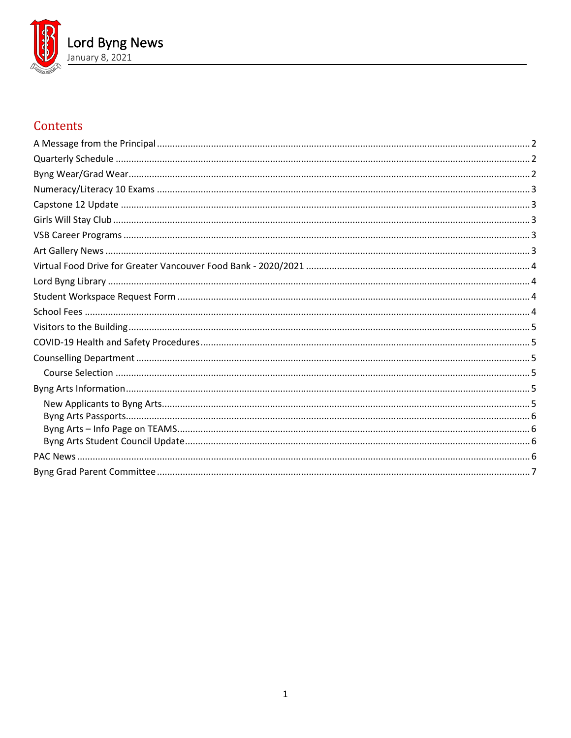

# Contents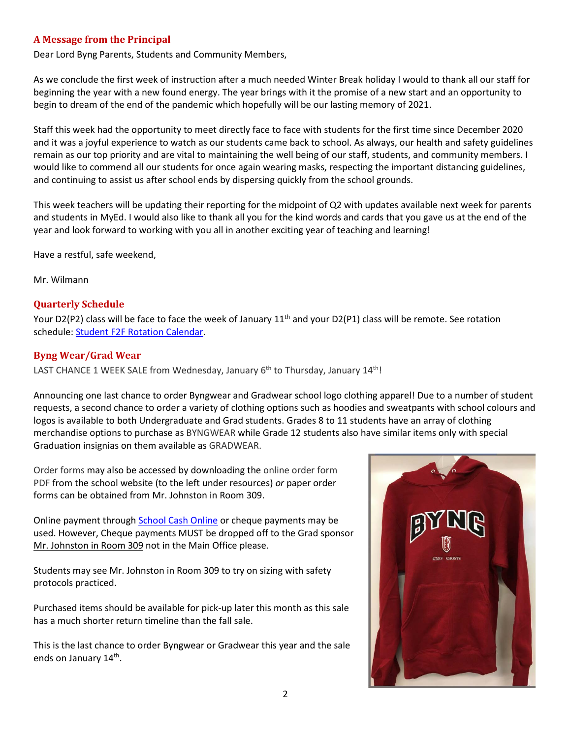### <span id="page-1-0"></span>**A Message from the Principal**

Dear Lord Byng Parents, Students and Community Members,

As we conclude the first week of instruction after a much needed Winter Break holiday I would to thank all our staff for beginning the year with a new found energy. The year brings with it the promise of a new start and an opportunity to begin to dream of the end of the pandemic which hopefully will be our lasting memory of 2021.

Staff this week had the opportunity to meet directly face to face with students for the first time since December 2020 and it was a joyful experience to watch as our students came back to school. As always, our health and safety guidelines remain as our top priority and are vital to maintaining the well being of our staff, students, and community members. I would like to commend all our students for once again wearing masks, respecting the important distancing guidelines, and continuing to assist us after school ends by dispersing quickly from the school grounds.

This week teachers will be updating their reporting for the midpoint of Q2 with updates available next week for parents and students in MyEd. I would also like to thank all you for the kind words and cards that you gave us at the end of the year and look forward to working with you all in another exciting year of teaching and learning!

Have a restful, safe weekend,

Mr. Wilmann

#### <span id="page-1-1"></span>**Quarterly Schedule**

Your D2(P2) class will be face to face the week of January 11<sup>th</sup> and your D2(P1) class will be remote. See rotation schedule: [Student F2F Rotation Calendar.](https://www.vsb.bc.ca/repository/SBAttachments/8e11130a-23bc-4157-9294-1c252018cc4d_STUDENTF2FandRemoteBlockCalendar2020-2021.pdf)

#### <span id="page-1-2"></span>**Byng Wear/Grad Wear**

LAST CHANCE 1 WEEK SALE from Wednesday, January 6<sup>th</sup> to Thursday, January 14<sup>th</sup>!

Announcing one last chance to order Byngwear and Gradwear school logo clothing apparel! Due to a number of student requests, a second chance to order a variety of clothing options such as hoodies and sweatpants with school colours and logos is available to both Undergraduate and Grad students. Grades 8 to 11 students have an array of clothing merchandise options to purchase as BYNGWEAR while Grade 12 students also have similar items only with special Graduation insignias on them available as GRADWEAR.

Order forms may also be accessed by downloading the online order form PDF from the school website (to the left under resources) *or* paper order forms can be obtained from Mr. Johnston in Room 309.

Online payment through [School Cash Online](https://vsb.schoolcashonline.com/) or cheque payments may be used. However, Cheque payments MUST be dropped off to the Grad sponsor Mr. Johnston in Room 309 not in the Main Office please.

Students may see Mr. Johnston in Room 309 to try on sizing with safety protocols practiced.

Purchased items should be available for pick-up later this month as this sale has a much shorter return timeline than the fall sale.

This is the last chance to order Byngwear or Gradwear this year and the sale ends on January 14<sup>th</sup>.

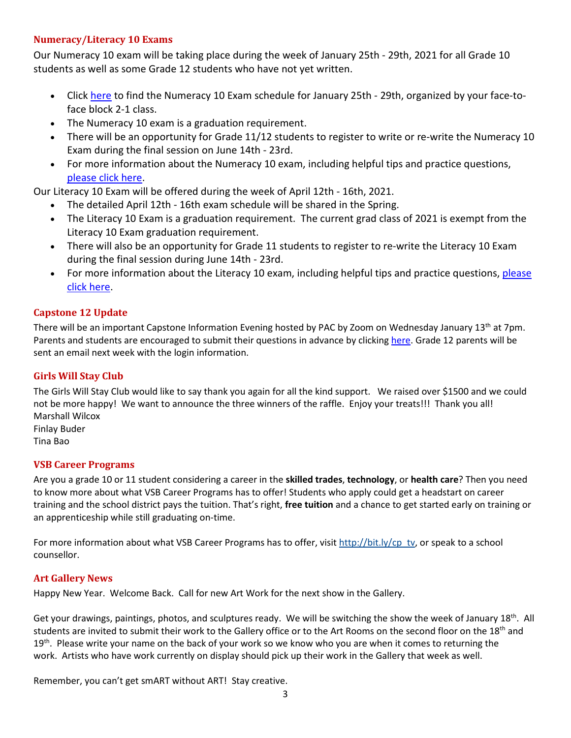# <span id="page-2-0"></span>**Numeracy/Literacy 10 Exams**

Our Numeracy 10 exam will be taking place during the week of January 25th - 29th, 2021 for all Grade 10 students as well as some Grade 12 students who have not yet written.

- Click [here](https://www.vsb.bc.ca/schools/lord-byng/About-Us/Publications/Documents/Exam%20Schedule%201%20for%20Students%20-%20Jan%202021%20-%20Numeracy.pdf) to find the Numeracy 10 Exam schedule for January 25th 29th, organized by your face-toface block 2-1 class.
- The Numeracy 10 exam is a graduation requirement.
- There will be an opportunity for Grade 11/12 students to register to write or re-write the Numeracy 10 Exam during the final session on June 14th - 23rd.
- For more information about the Numeracy 10 exam, including helpful tips and practice questions, [please click here.](https://curriculum.gov.bc.ca/provincial/grade-10-numeracy-assessment)

Our Literacy 10 Exam will be offered during the week of April 12th - 16th, 2021.

- The detailed April 12th 16th exam schedule will be shared in the Spring.
- The Literacy 10 Exam is a graduation requirement. The current grad class of 2021 is exempt from the Literacy 10 Exam graduation requirement.
- There will also be an opportunity for Grade 11 students to register to re-write the Literacy 10 Exam during the final session during June 14th - 23rd.
- For more information about the Literacy 10 exam, including helpful tips and practice questions, please [click here.](https://curriculum.gov.bc.ca/provincial/grade-10-literacy-assessment)

# <span id="page-2-1"></span>**Capstone 12 Update**

There will be an important Capstone Information Evening hosted by PAC by Zoom on Wednesday January 13<sup>th</sup> at 7pm. Parents and students are encouraged to submit their questions in advance by clickin[g here.](https://docs.google.com/forms/d/e/1FAIpQLSd8tmmF-3H-um6d7kkjuqytS9_03l6_tR69dRR1DoeGpRkRXg/viewform?usp=sf_link) Grade 12 parents will be sent an email next week with the login information.

# <span id="page-2-2"></span>**Girls Will Stay Club**

The Girls Will Stay Club would like to say thank you again for all the kind support. We raised over \$1500 and we could not be more happy! We want to announce the three winners of the raffle. Enjoy your treats!!! Thank you all! Marshall Wilcox Finlay Buder Tina Bao

# <span id="page-2-3"></span>**VSB Career Programs**

Are you a grade 10 or 11 student considering a career in the **skilled trades**, **technology**, or **health care**? Then you need to know more about what VSB Career Programs has to offer! Students who apply could get a headstart on career training and the school district pays the tuition. That's right, **free tuition** and a chance to get started early on training or an apprenticeship while still graduating on-time.

For more information about what VSB Career Programs has to offer, visit [http://bit.ly/cp\\_tv,](http://bit.ly/cp_tv) or speak to a school counsellor.

# <span id="page-2-4"></span>**Art Gallery News**

Happy New Year. Welcome Back. Call for new Art Work for the next show in the Gallery.

Get your drawings, paintings, photos, and sculptures ready. We will be switching the show the week of January  $18^{th}$ . All students are invited to submit their work to the Gallery office or to the Art Rooms on the second floor on the 18<sup>th</sup> and  $19<sup>th</sup>$ . Please write your name on the back of your work so we know who you are when it comes to returning the work. Artists who have work currently on display should pick up their work in the Gallery that week as well.

Remember, you can't get smART without ART! Stay creative.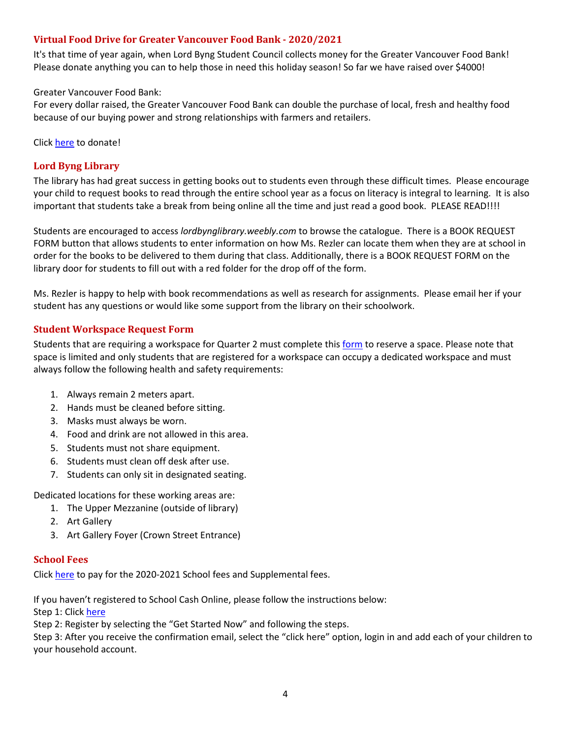### <span id="page-3-0"></span>**Virtual Food Drive for Greater Vancouver Food Bank - 2020/2021**

It's that time of year again, when Lord Byng Student Council collects money for the Greater Vancouver Food Bank! Please donate anything you can to help those in need this holiday season! So far we have raised over \$4000!

Greater Vancouver Food Bank:

For every dollar raised, the Greater Vancouver Food Bank can double the purchase of local, fresh and healthy food because of our buying power and strong relationships with farmers and retailers.

<span id="page-3-1"></span>Click [here](https://vsb.schoolcashonline.com/Fee/Details/47366/196/False/True) to donate!

#### **Lord Byng Library**

The library has had great success in getting books out to students even through these difficult times. Please encourage your child to request books to read through the entire school year as a focus on literacy is integral to learning. It is also important that students take a break from being online all the time and just read a good book. PLEASE READ!!!!

Students are encouraged to access *lordbynglibrary.weebly.com* to browse the catalogue. There is a BOOK REQUEST FORM button that allows students to enter information on how Ms. Rezler can locate them when they are at school in order for the books to be delivered to them during that class. Additionally, there is a BOOK REQUEST FORM on the library door for students to fill out with a red folder for the drop off of the form.

Ms. Rezler is happy to help with book recommendations as well as research for assignments. Please email her if your student has any questions or would like some support from the library on their schoolwork.

#### <span id="page-3-2"></span>**Student Workspace Request Form**

Students that are requiring a workspace for Quarter 2 must complete this [form](https://forms.office.com/Pages/ResponsePage.aspx?id=WC6KCzB7CEq6t9dVWeDjpcU6_SJBxJFAvnYu4EP3zdBUOE1DMDQwUkREWVY5NDZHTTI4Nk4wMzM5VC4u) to reserve a space. Please note that space is limited and only students that are registered for a workspace can occupy a dedicated workspace and must always follow the following health and safety requirements:

- 1. Always remain 2 meters apart.
- 2. Hands must be cleaned before sitting.
- 3. Masks must always be worn.
- 4. Food and drink are not allowed in this area.
- 5. Students must not share equipment.
- 6. Students must clean off desk after use.
- 7. Students can only sit in designated seating.

Dedicated locations for these working areas are:

- 1. The Upper Mezzanine (outside of library)
- 2. Art Gallery
- 3. Art Gallery Foyer (Crown Street Entrance)

#### <span id="page-3-3"></span>**School Fees**

Click [here](https://vsb.schoolcashonline.com/) to pay for the 2020-2021 School fees and Supplemental fees.

If you haven't registered to School Cash Online, please follow the instructions below:

Step 1: Clic[k here](https://vsb.schoolcashonline.com/)

Step 2: Register by selecting the "Get Started Now" and following the steps.

Step 3: After you receive the confirmation email, select the "click here" option, login in and add each of your children to your household account.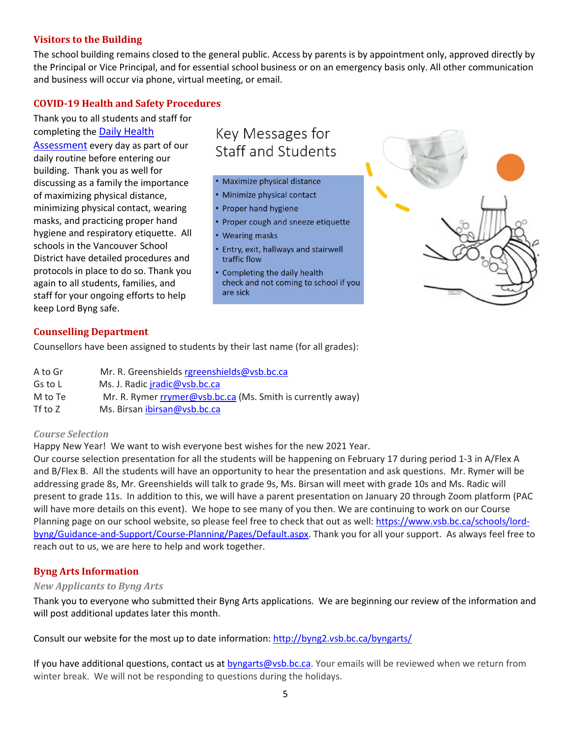### <span id="page-4-0"></span>**Visitors to the Building**

The school building remains closed to the general public. Access by parents is by appointment only, approved directly by the Principal or Vice Principal, and for essential school business or on an emergency basis only. All other communication and business will occur via phone, virtual meeting, or email.

### <span id="page-4-1"></span>**COVID-19 Health and Safety Procedures**

Thank you to all students and staff for completing the [Daily Health](https://www.vsb.bc.ca/repository/SBAttachments/8e11130a-23bc-4157-9294-1c252018cc4d_DailyHealthAssessment-Student_Sept15003.pdf) 

[Assessment](https://www.vsb.bc.ca/repository/SBAttachments/8e11130a-23bc-4157-9294-1c252018cc4d_DailyHealthAssessment-Student_Sept15003.pdf) every day as part of our daily routine before entering our building. Thank you as well for discussing as a family the importance of maximizing physical distance, minimizing physical contact, wearing masks, and practicing proper hand hygiene and respiratory etiquette. All schools in the Vancouver School District have detailed procedures and protocols in place to do so. Thank you again to all students, families, and staff for your ongoing efforts to help keep Lord Byng safe.

# Key Messages for Staff and Students

- · Maximize physical distance
- · Minimize physical contact
- Proper hand hygiene
- Proper cough and sneeze etiquette
- Wearing masks
- Entry, exit, hallways and stairwell traffic flow
- Completing the daily health check and not coming to school if you are sick



#### <span id="page-4-2"></span>**Counselling Department**

Counsellors have been assigned to students by their last name (for all grades):

| A to Gr | Mr. R. Greenshields rgreenshields@vsb.bc.ca                 |
|---------|-------------------------------------------------------------|
| Gs to L | Ms. J. Radic <i>iradic@vsb.bc.ca</i>                        |
| M to Te | Mr. R. Rymer rrymer@vsb.bc.ca (Ms. Smith is currently away) |
| Tf to Z | Ms. Birsan ibirsan@vsb.bc.ca                                |

#### <span id="page-4-3"></span>*Course Selection*

Happy New Year! We want to wish everyone best wishes for the new 2021 Year.

Our course selection presentation for all the students will be happening on February 17 during period 1-3 in A/Flex A and B/Flex B. All the students will have an opportunity to hear the presentation and ask questions. Mr. Rymer will be addressing grade 8s, Mr. Greenshields will talk to grade 9s, Ms. Birsan will meet with grade 10s and Ms. Radic will present to grade 11s. In addition to this, we will have a parent presentation on January 20 through Zoom platform (PAC will have more details on this event). We hope to see many of you then. We are continuing to work on our Course Planning page on our school website, so please feel free to check that out as well: [https://www.vsb.bc.ca/schools/lord](https://www.vsb.bc.ca/schools/lord-byng/Guidance-and-Support/Course-Planning/Pages/Default.aspx)[byng/Guidance-and-Support/Course-Planning/Pages/Default.aspx.](https://www.vsb.bc.ca/schools/lord-byng/Guidance-and-Support/Course-Planning/Pages/Default.aspx) Thank you for all your support. As always feel free to reach out to us, we are here to help and work together.

# <span id="page-4-4"></span>**Byng Arts Information**

#### <span id="page-4-5"></span>*New Applicants to Byng Arts*

Thank you to everyone who submitted their Byng Arts applications. We are beginning our review of the information and will post additional updates later this month.

Consult our website for the most up to date information:<http://byng2.vsb.bc.ca/byngarts/>

If you have additional questions, contact us a[t byngarts@vsb.bc.ca.](mailto:byngarts@vsb.bc.ca) Your emails will be reviewed when we return from winter break. We will not be responding to questions during the holidays.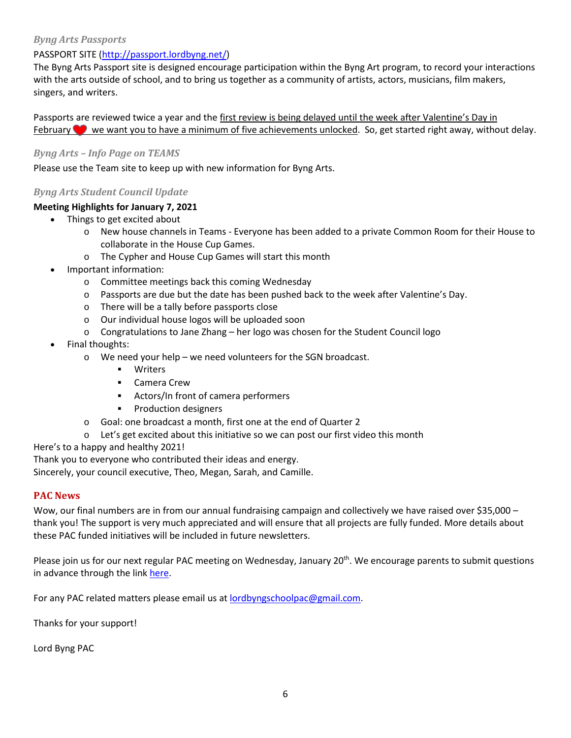#### <span id="page-5-0"></span>*Byng Arts Passports*

# PASSPORT SITE [\(http://passport.lordbyng.net/\)](http://passport.lordbyng.net/)

The Byng Arts Passport site is designed encourage participation within the Byng Art program, to record your interactions with the arts outside of school, and to bring us together as a community of artists, actors, musicians, film makers, singers, and writers.

Passports are reviewed twice a year and the first review is being delayed until the week after Valentine's Day in February we want you to have a minimum of five achievements unlocked. So, get started right away, without delay.

### <span id="page-5-1"></span>*Byng Arts – Info Page on TEAMS*

<span id="page-5-2"></span>Please use the Team site to keep up with new information for Byng Arts.

# *Byng Arts Student Council Update*

#### **Meeting Highlights for January 7, 2021**

- Things to get excited about
	- o New house channels in Teams Everyone has been added to a private Common Room for their House to collaborate in the House Cup Games.
	- o The Cypher and House Cup Games will start this month
- Important information:
	- o Committee meetings back this coming Wednesday
	- $\circ$  Passports are due but the date has been pushed back to the week after Valentine's Day.
	- o There will be a tally before passports close
	- o Our individual house logos will be uploaded soon
	- $\circ$  Congratulations to Jane Zhang her logo was chosen for the Student Council logo
- Final thoughts:
	- o We need your help we need volunteers for the SGN broadcast.
		- **•** Writers
		- Camera Crew
		- Actors/In front of camera performers
		- **•** Production designers
	- o Goal: one broadcast a month, first one at the end of Quarter 2
	- $\circ$  Let's get excited about this initiative so we can post our first video this month

Here's to a happy and healthy 2021!

Thank you to everyone who contributed their ideas and energy.

<span id="page-5-3"></span>Sincerely, your council executive, Theo, Megan, Sarah, and Camille.

#### **PAC News**

Wow, our final numbers are in from our annual fundraising campaign and collectively we have raised over \$35,000 – thank you! The support is very much appreciated and will ensure that all projects are fully funded. More details about these PAC funded initiatives will be included in future newsletters.

Please join us for our next regular PAC meeting on Wednesday, January 20<sup>th</sup>. We encourage parents to submit questions in advance through the lin[k here.](https://docs.google.com/forms/d/e/1FAIpQLScn1gDOp0fMB8EMvlfbF94C3a8Hp_r7QtE-9JFwaoH27xz7oA/viewform?usp=sf_link)

For any PAC related matters please email us at **lordbyngschoolpac@gmail.com**.

Thanks for your support!

Lord Byng PAC